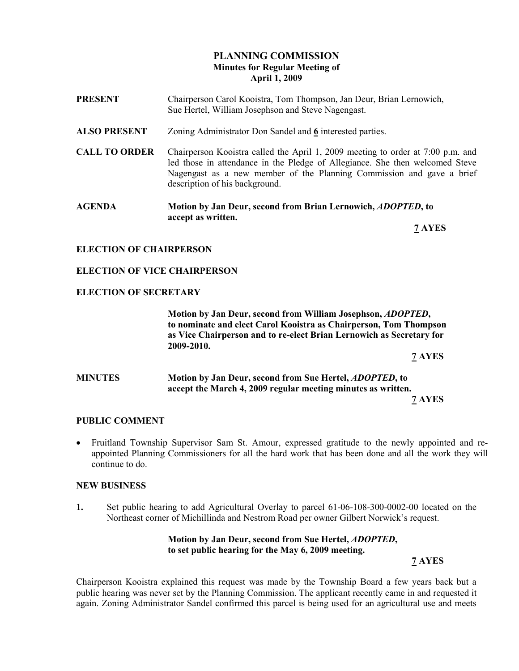## PLANNING COMMISSION Minutes for Regular Meeting of April 1, 2009

- PRESENT Chairperson Carol Kooistra, Tom Thompson, Jan Deur, Brian Lernowich, Sue Hertel, William Josephson and Steve Nagengast. ALSO PRESENT Zoning Administrator Don Sandel and 6 interested parties. CALL TO ORDER Chairperson Kooistra called the April 1, 2009 meeting to order at 7:00 p.m. and led those in attendance in the Pledge of Allegiance. She then welcomed Steve Nagengast as a new member of the Planning Commission and gave a brief description of his background. AGENDA Motion by Jan Deur, second from Brian Lernowich, ADOPTED, to
- accept as written.

7 AYES

## ELECTION OF CHAIRPERSON

### ELECTION OF VICE CHAIRPERSON

#### ELECTION OF SECRETARY

 Motion by Jan Deur, second from William Josephson, ADOPTED, to nominate and elect Carol Kooistra as Chairperson, Tom Thompson as Vice Chairperson and to re-elect Brian Lernowich as Secretary for 2009-2010.

7 AYES

### MINUTES Motion by Jan Deur, second from Sue Hertel, ADOPTED, to accept the March 4, 2009 regular meeting minutes as written. 7 AYES

#### PUBLIC COMMENT

• Fruitland Township Supervisor Sam St. Amour, expressed gratitude to the newly appointed and reappointed Planning Commissioners for all the hard work that has been done and all the work they will continue to do.

#### NEW BUSINESS

1. Set public hearing to add Agricultural Overlay to parcel 61-06-108-300-0002-00 located on the Northeast corner of Michillinda and Nestrom Road per owner Gilbert Norwick's request.

#### Motion by Jan Deur, second from Sue Hertel, ADOPTED, to set public hearing for the May 6, 2009 meeting.

7 AYES

Chairperson Kooistra explained this request was made by the Township Board a few years back but a public hearing was never set by the Planning Commission. The applicant recently came in and requested it again. Zoning Administrator Sandel confirmed this parcel is being used for an agricultural use and meets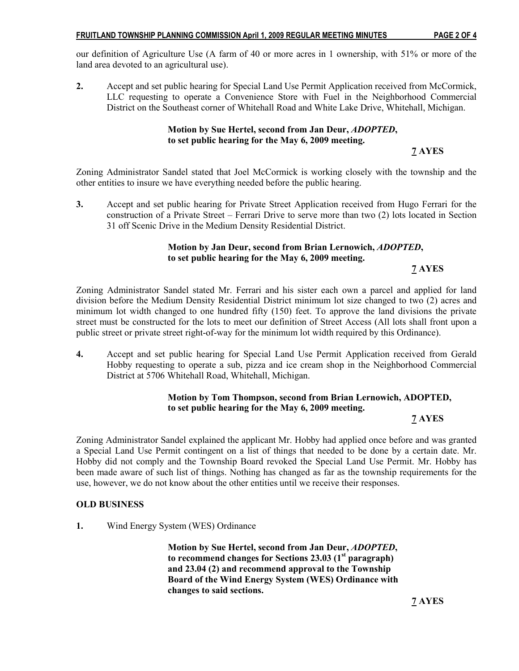our definition of Agriculture Use (A farm of 40 or more acres in 1 ownership, with 51% or more of the land area devoted to an agricultural use).

2. Accept and set public hearing for Special Land Use Permit Application received from McCormick, LLC requesting to operate a Convenience Store with Fuel in the Neighborhood Commercial District on the Southeast corner of Whitehall Road and White Lake Drive, Whitehall, Michigan.

### Motion by Sue Hertel, second from Jan Deur, ADOPTED, to set public hearing for the May 6, 2009 meeting.

7 AYES

Zoning Administrator Sandel stated that Joel McCormick is working closely with the township and the other entities to insure we have everything needed before the public hearing.

3. Accept and set public hearing for Private Street Application received from Hugo Ferrari for the construction of a Private Street – Ferrari Drive to serve more than two (2) lots located in Section 31 off Scenic Drive in the Medium Density Residential District.

### Motion by Jan Deur, second from Brian Lernowich, ADOPTED, to set public hearing for the May 6, 2009 meeting.

7 AYES

Zoning Administrator Sandel stated Mr. Ferrari and his sister each own a parcel and applied for land division before the Medium Density Residential District minimum lot size changed to two (2) acres and minimum lot width changed to one hundred fifty (150) feet. To approve the land divisions the private street must be constructed for the lots to meet our definition of Street Access (All lots shall front upon a public street or private street right-of-way for the minimum lot width required by this Ordinance).

4. Accept and set public hearing for Special Land Use Permit Application received from Gerald Hobby requesting to operate a sub, pizza and ice cream shop in the Neighborhood Commercial District at 5706 Whitehall Road, Whitehall, Michigan.

### Motion by Tom Thompson, second from Brian Lernowich, ADOPTED, to set public hearing for the May 6, 2009 meeting.

#### 7 AYES

Zoning Administrator Sandel explained the applicant Mr. Hobby had applied once before and was granted a Special Land Use Permit contingent on a list of things that needed to be done by a certain date. Mr. Hobby did not comply and the Township Board revoked the Special Land Use Permit. Mr. Hobby has been made aware of such list of things. Nothing has changed as far as the township requirements for the use, however, we do not know about the other entities until we receive their responses.

#### OLD BUSINESS

1. Wind Energy System (WES) Ordinance

 Motion by Sue Hertel, second from Jan Deur, ADOPTED, to recommend changes for Sections  $23.03$  (1<sup>st</sup> paragraph) and 23.04 (2) and recommend approval to the Township Board of the Wind Energy System (WES) Ordinance with changes to said sections.

7 AYES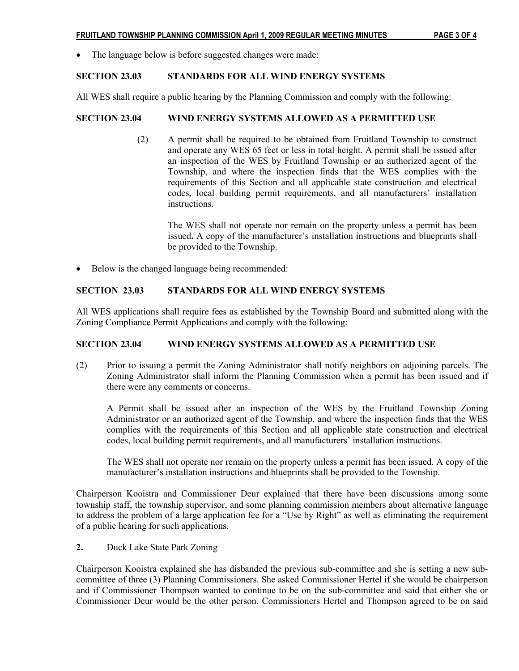#### FRUITLAND TOWNSHIP PLANNING COMMISSION April 1, 2009 REGULAR MEETING MINUTES PAGE 3 OF 4

• The language below is before suggested changes were made:

### SECTION 23.03 STANDARDS FOR ALL WIND ENERGY SYSTEMS

All WES shall require a public hearing by the Planning Commission and comply with the following:

### SECTION 23.04 WIND ENERGY SYSTEMS ALLOWED AS A PERMITTED USE

(2) A permit shall be required to be obtained from Fruitland Township to construct and operate any WES 65 feet or less in total height. A permit shall be issued after an inspection of the WES by Fruitland Township or an authorized agent of the Township, and where the inspection finds that the WES complies with the requirements of this Section and all applicable state construction and electrical codes, local building permit requirements, and all manufacturers' installation instructions.

 The WES shall not operate nor remain on the property unless a permit has been issued. A copy of the manufacturer's installation instructions and blueprints shall be provided to the Township.

• Below is the changed language being recommended:

### SECTION 23.03 STANDARDS FOR ALL WIND ENERGY SYSTEMS

All WES applications shall require fees as established by the Township Board and submitted along with the Zoning Compliance Permit Applications and comply with the following:

#### SECTION 23.04 WIND ENERGY SYSTEMS ALLOWED AS A PERMITTED USE

(2) Prior to issuing a permit the Zoning Administrator shall notify neighbors on adjoining parcels. The Zoning Administrator shall inform the Planning Commission when a permit has been issued and if there were any comments or concerns.

A Permit shall be issued after an inspection of the WES by the Fruitland Township Zoning Administrator or an authorized agent of the Township, and where the inspection finds that the WES complies with the requirements of this Section and all applicable state construction and electrical codes, local building permit requirements, and all manufacturers' installation instructions.

The WES shall not operate nor remain on the property unless a permit has been issued. A copy of the manufacturer's installation instructions and blueprints shall be provided to the Township.

Chairperson Kooistra and Commissioner Deur explained that there have been discussions among some township staff, the township supervisor, and some planning commission members about alternative language to address the problem of a large application fee for a "Use by Right" as well as eliminating the requirement of a public hearing for such applications.

### 2. Duck Lake State Park Zoning

Chairperson Kooistra explained she has disbanded the previous sub-committee and she is setting a new subcommittee of three (3) Planning Commissioners. She asked Commissioner Hertel if she would be chairperson and if Commissioner Thompson wanted to continue to be on the sub-committee and said that either she or Commissioner Deur would be the other person. Commissioners Hertel and Thompson agreed to be on said